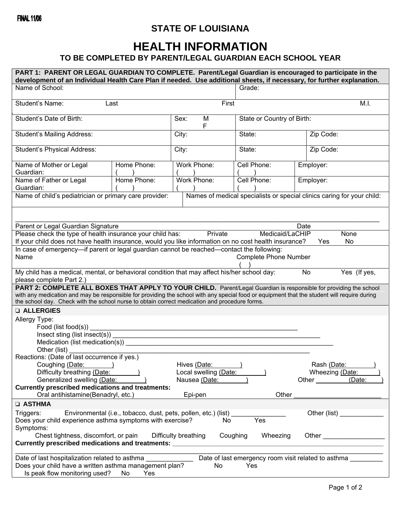## **STATE OF LOUISIANA**

## **HEALTH INFORMATION**

## **TO BE COMPLETED BY PARENT/LEGAL GUARDIAN EACH SCHOOL YEAR**

| PART 1: PARENT OR LEGAL GUARDIAN TO COMPLETE. Parent/Legal Guardian is encouraged to participate in the<br>development of an Individual Health Care Plan if needed. Use additional sheets, if necessary, for further explanation.                                 |             |                                                                |             |                 |  |  |
|-------------------------------------------------------------------------------------------------------------------------------------------------------------------------------------------------------------------------------------------------------------------|-------------|----------------------------------------------------------------|-------------|-----------------|--|--|
| Name of School:                                                                                                                                                                                                                                                   |             |                                                                | Grade:      |                 |  |  |
| Student's Name:                                                                                                                                                                                                                                                   | Last        | First                                                          |             | M.I.            |  |  |
| Student's Date of Birth:                                                                                                                                                                                                                                          |             | State or Country of Birth:<br>Sex:<br>M<br>F                   |             |                 |  |  |
| Student's Mailing Address:                                                                                                                                                                                                                                        |             | City:                                                          | State:      | Zip Code:       |  |  |
| <b>Student's Physical Address:</b>                                                                                                                                                                                                                                |             | City:                                                          | State:      | Zip Code:       |  |  |
| Name of Mother or Legal<br>Guardian:                                                                                                                                                                                                                              | Home Phone: | Work Phone:                                                    | Cell Phone: | Employer:       |  |  |
| Name of Father or Legal<br>Guardian:                                                                                                                                                                                                                              | Home Phone: | Work Phone:                                                    | Cell Phone: | Employer:       |  |  |
| Name of child's pediatrician or primary care provider:<br>Names of medical specialists or special clinics caring for your child:                                                                                                                                  |             |                                                                |             |                 |  |  |
|                                                                                                                                                                                                                                                                   |             |                                                                |             |                 |  |  |
| Parent or Legal Guardian Signature<br>Date                                                                                                                                                                                                                        |             |                                                                |             |                 |  |  |
| Please check the type of health insurance your child has:<br>Medicaid/LaCHIP<br>Private<br>None<br>If your child does not have health insurance, would you like information on no cost health insurance?<br>No.<br>Yes                                            |             |                                                                |             |                 |  |  |
| In case of emergency-if parent or legal guardian cannot be reached-contact the following:                                                                                                                                                                         |             |                                                                |             |                 |  |  |
| <b>Complete Phone Number</b><br>Name                                                                                                                                                                                                                              |             |                                                                |             |                 |  |  |
| My child has a medical, mental, or behavioral condition that may affect his/her school day:<br>No<br>Yes (If yes,                                                                                                                                                 |             |                                                                |             |                 |  |  |
| please complete Part 2.)                                                                                                                                                                                                                                          |             |                                                                |             |                 |  |  |
| PART 2: COMPLETE ALL BOXES THAT APPLY TO YOUR CHILD. Parent/Legal Guardian is responsible for providing the school<br>with any medication and may be responsible for providing the school with any special food or equipment that the student will require during |             |                                                                |             |                 |  |  |
| the school day. Check with the school nurse to obtain correct medication and procedure forms.                                                                                                                                                                     |             |                                                                |             |                 |  |  |
| <b>Q ALLERGIES</b>                                                                                                                                                                                                                                                |             |                                                                |             |                 |  |  |
| Allergy Type:                                                                                                                                                                                                                                                     |             |                                                                |             |                 |  |  |
| Food (list food(s))                                                                                                                                                                                                                                               |             |                                                                |             |                 |  |  |
| Insect sting (list insect(s))                                                                                                                                                                                                                                     |             |                                                                |             |                 |  |  |
| Medication (list medication(s))<br>Other (list)                                                                                                                                                                                                                   |             |                                                                |             |                 |  |  |
| Reactions: (Date of last occurrence if yes.)                                                                                                                                                                                                                      |             |                                                                |             |                 |  |  |
| Coughing (Date:                                                                                                                                                                                                                                                   |             | Hives (Date:                                                   |             | Rash (Date:     |  |  |
| Difficulty breathing (Date:                                                                                                                                                                                                                                       |             | Local swelling (Date:                                          |             | Wheezing (Date: |  |  |
| Generalized swelling (Date:<br><b>Currently prescribed medications and treatments:</b>                                                                                                                                                                            |             | Nausea (Date:                                                  |             | Other (Date:    |  |  |
| Oral antihistamine(Benadryl, etc.)                                                                                                                                                                                                                                |             | Epi-pen                                                        | Other       |                 |  |  |
| <b>Q ASTHMA</b>                                                                                                                                                                                                                                                   |             |                                                                |             |                 |  |  |
| Triggers:                                                                                                                                                                                                                                                         |             | Environmental (i.e., tobacco, dust, pets, pollen, etc.) (list) |             |                 |  |  |
| Does your child experience asthma symptoms with exercise?<br>Symptoms:                                                                                                                                                                                            |             | No.                                                            | Yes         |                 |  |  |
| Chest tightness, discomfort, or pain<br>Difficulty breathing<br>Coughing<br>Wheezing<br>Currently prescribed medications and treatments: _________                                                                                                                |             |                                                                |             |                 |  |  |
|                                                                                                                                                                                                                                                                   |             |                                                                |             |                 |  |  |
| Date of last emergency room visit related to asthma<br>Date of last hospitalization related to asthma                                                                                                                                                             |             |                                                                |             |                 |  |  |
| Does your child have a written asthma management plan?<br>No<br>Yes<br>Is peak flow monitoring used?<br>No<br>Yes                                                                                                                                                 |             |                                                                |             |                 |  |  |